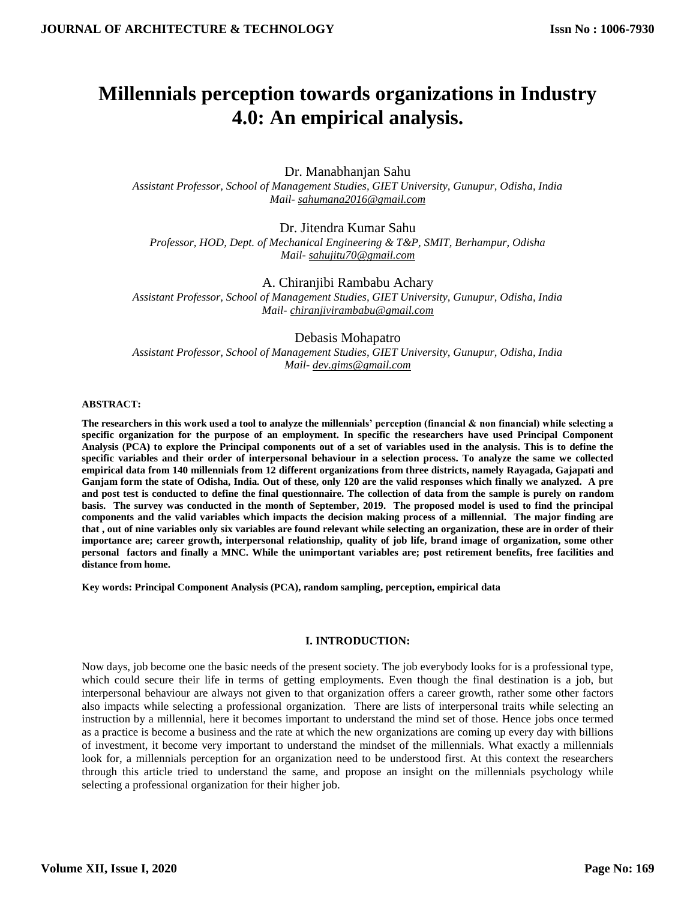# **Millennials perception towards organizations in Industry 4.0: An empirical analysis.**

Dr. Manabhanjan Sahu *Assistant Professor, School of Management Studies, GIET University, Gunupur, Odisha, India Mail- [sahumana2016@gmail.com](mailto:sahumana2016@gmail.com)*

Dr. Jitendra Kumar Sahu *Professor, HOD, Dept. of Mechanical Engineering & T&P, SMIT, Berhampur, Odisha Mail- [sahujitu70@gmail.com](mailto:sahujitu70@gmail.com)*

A. Chiranjibi Rambabu Achary *Assistant Professor, School of Management Studies, GIET University, Gunupur, Odisha, India Mail- [chiranjivirambabu@gmail.com](mailto:chiranjivirambabu@gmail.com)*

Debasis Mohapatro *Assistant Professor, School of Management Studies, GIET University, Gunupur, Odisha, India Mail- [dev.gims@gmail.com](mailto:dev.gims@gmail.com)*

#### **ABSTRACT:**

**The researchers in this work used a tool to analyze the millennials' perception (financial & non financial) while selecting a specific organization for the purpose of an employment. In specific the researchers have used Principal Component Analysis (PCA) to explore the Principal components out of a set of variables used in the analysis. This is to define the specific variables and their order of interpersonal behaviour in a selection process. To analyze the same we collected empirical data from 140 millennials from 12 different organizations from three districts, namely Rayagada, Gajapati and Ganjam form the state of Odisha, India. Out of these, only 120 are the valid responses which finally we analyzed. A pre and post test is conducted to define the final questionnaire. The collection of data from the sample is purely on random basis. The survey was conducted in the month of September, 2019. The proposed model is used to find the principal components and the valid variables which impacts the decision making process of a millennial. The major finding are that , out of nine variables only six variables are found relevant while selecting an organization, these are in order of their importance are; career growth, interpersonal relationship, quality of job life, brand image of organization, some other personal factors and finally a MNC. While the unimportant variables are; post retirement benefits, free facilities and distance from home.** 

**Key words: Principal Component Analysis (PCA), random sampling, perception, empirical data**

#### **I. INTRODUCTION:**

Now days, job become one the basic needs of the present society. The job everybody looks for is a professional type, which could secure their life in terms of getting employments. Even though the final destination is a job, but interpersonal behaviour are always not given to that organization offers a career growth, rather some other factors also impacts while selecting a professional organization. There are lists of interpersonal traits while selecting an instruction by a millennial, here it becomes important to understand the mind set of those. Hence jobs once termed as a practice is become a business and the rate at which the new organizations are coming up every day with billions of investment, it become very important to understand the mindset of the millennials. What exactly a millennials look for, a millennials perception for an organization need to be understood first. At this context the researchers through this article tried to understand the same, and propose an insight on the millennials psychology while selecting a professional organization for their higher job.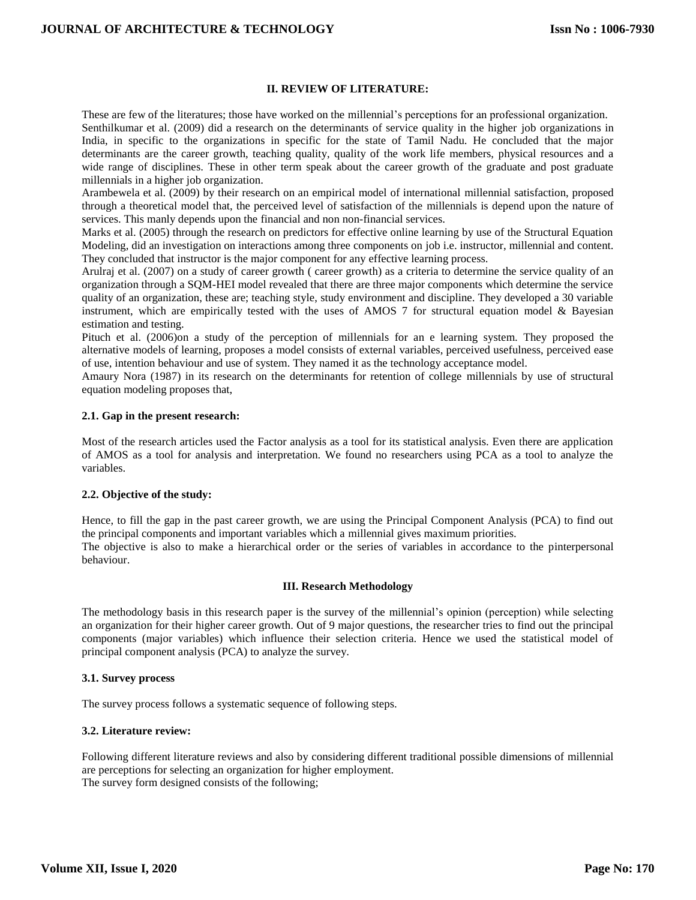# **II. REVIEW OF LITERATURE:**

These are few of the literatures; those have worked on the millennial's perceptions for an professional organization. Senthilkumar et al. (2009) did a research on the determinants of service quality in the higher job organizations in India, in specific to the organizations in specific for the state of Tamil Nadu. He concluded that the major determinants are the career growth, teaching quality, quality of the work life members, physical resources and a wide range of disciplines. These in other term speak about the career growth of the graduate and post graduate millennials in a higher job organization.

Arambewela et al. (2009) by their research on an empirical model of international millennial satisfaction, proposed through a theoretical model that, the perceived level of satisfaction of the millennials is depend upon the nature of services. This manly depends upon the financial and non non-financial services.

Marks et al. (2005) through the research on predictors for effective online learning by use of the Structural Equation Modeling, did an investigation on interactions among three components on job i.e. instructor, millennial and content. They concluded that instructor is the major component for any effective learning process.

Arulraj et al. (2007) on a study of career growth ( career growth) as a criteria to determine the service quality of an organization through a SQM-HEI model revealed that there are three major components which determine the service quality of an organization, these are; teaching style, study environment and discipline. They developed a 30 variable instrument, which are empirically tested with the uses of AMOS  $7$  for structural equation model  $\&$  Bayesian estimation and testing.

Pituch et al. (2006)on a study of the perception of millennials for an e learning system. They proposed the alternative models of learning, proposes a model consists of external variables, perceived usefulness, perceived ease of use, intention behaviour and use of system. They named it as the technology acceptance model.

Amaury Nora (1987) in its research on the determinants for retention of college millennials by use of structural equation modeling proposes that,

# **2.1. Gap in the present research:**

Most of the research articles used the Factor analysis as a tool for its statistical analysis. Even there are application of AMOS as a tool for analysis and interpretation. We found no researchers using PCA as a tool to analyze the variables.

#### **2.2. Objective of the study:**

Hence, to fill the gap in the past career growth, we are using the Principal Component Analysis (PCA) to find out the principal components and important variables which a millennial gives maximum priorities. The objective is also to make a hierarchical order or the series of variables in accordance to the pinterpersonal behaviour.

#### **III. Research Methodology**

The methodology basis in this research paper is the survey of the millennial's opinion (perception) while selecting an organization for their higher career growth. Out of 9 major questions, the researcher tries to find out the principal components (major variables) which influence their selection criteria. Hence we used the statistical model of principal component analysis (PCA) to analyze the survey.

#### **3.1. Survey process**

The survey process follows a systematic sequence of following steps.

# **3.2. Literature review:**

Following different literature reviews and also by considering different traditional possible dimensions of millennial are perceptions for selecting an organization for higher employment. The survey form designed consists of the following;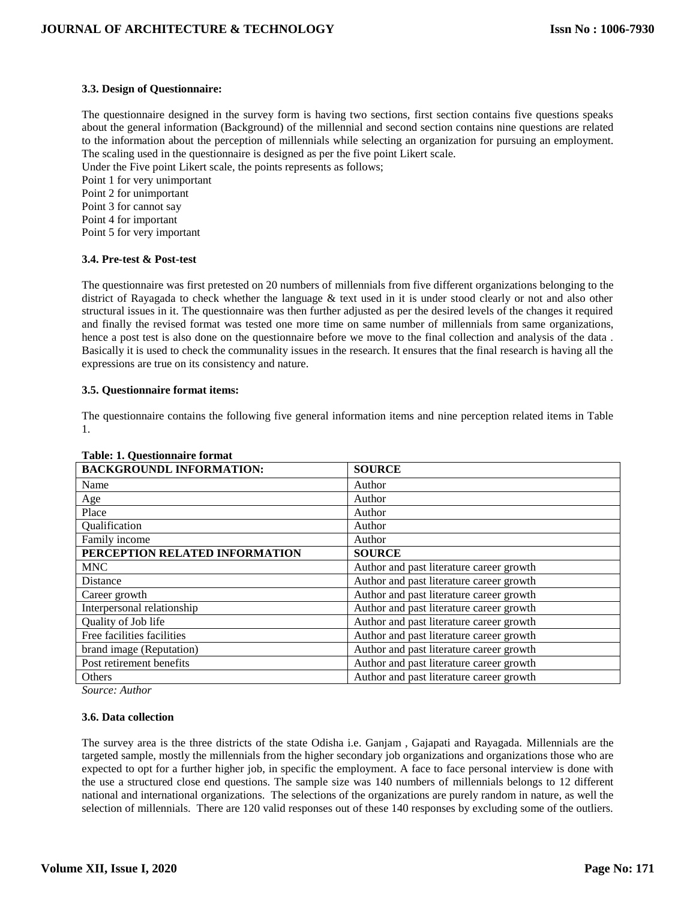# **3.3. Design of Questionnaire:**

The questionnaire designed in the survey form is having two sections, first section contains five questions speaks about the general information (Background) of the millennial and second section contains nine questions are related to the information about the perception of millennials while selecting an organization for pursuing an employment. The scaling used in the questionnaire is designed as per the five point Likert scale. Under the Five point Likert scale, the points represents as follows;

Point 1 for very unimportant Point 2 for unimportant Point 3 for cannot say Point 4 for important Point 5 for very important

# **3.4. Pre-test & Post-test**

The questionnaire was first pretested on 20 numbers of millennials from five different organizations belonging to the district of Rayagada to check whether the language & text used in it is under stood clearly or not and also other structural issues in it. The questionnaire was then further adjusted as per the desired levels of the changes it required and finally the revised format was tested one more time on same number of millennials from same organizations, hence a post test is also done on the questionnaire before we move to the final collection and analysis of the data . Basically it is used to check the communality issues in the research. It ensures that the final research is having all the expressions are true on its consistency and nature.

#### **3.5. Questionnaire format items:**

The questionnaire contains the following five general information items and nine perception related items in Table 1.

| Table. 1. Questionnait é foi mai |                                          |
|----------------------------------|------------------------------------------|
| <b>BACKGROUNDL INFORMATION:</b>  | <b>SOURCE</b>                            |
| Name                             | Author                                   |
| Age                              | Author                                   |
| Place                            | Author                                   |
| Qualification                    | Author                                   |
| Family income                    | Author                                   |
| PERCEPTION RELATED INFORMATION   | <b>SOURCE</b>                            |
| <b>MNC</b>                       | Author and past literature career growth |
| Distance                         | Author and past literature career growth |
| Career growth                    | Author and past literature career growth |
| Interpersonal relationship       | Author and past literature career growth |
| Quality of Job life              | Author and past literature career growth |
| Free facilities facilities       | Author and past literature career growth |
| brand image (Reputation)         | Author and past literature career growth |
| Post retirement benefits         | Author and past literature career growth |
| Others                           | Author and past literature career growth |

# **Table: 1. Questionnaire format**

*Source: Author* 

#### **3.6. Data collection**

The survey area is the three districts of the state Odisha i.e. Ganjam , Gajapati and Rayagada. Millennials are the targeted sample, mostly the millennials from the higher secondary job organizations and organizations those who are expected to opt for a further higher job, in specific the employment. A face to face personal interview is done with the use a structured close end questions. The sample size was 140 numbers of millennials belongs to 12 different national and international organizations. The selections of the organizations are purely random in nature, as well the selection of millennials. There are 120 valid responses out of these 140 responses by excluding some of the outliers.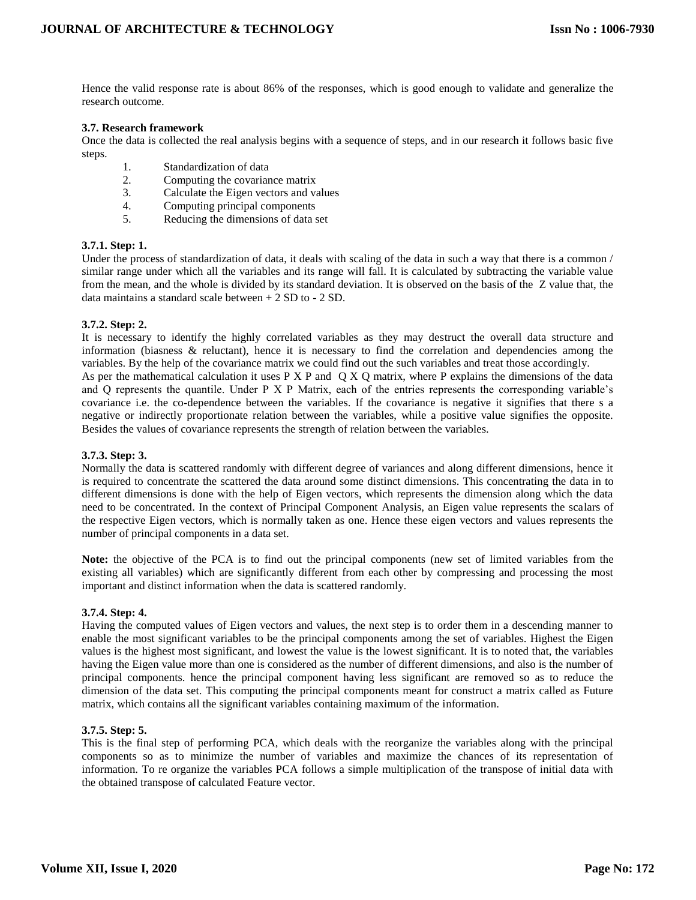Hence the valid response rate is about 86% of the responses, which is good enough to validate and generalize the research outcome.

# **3.7. Research framework**

Once the data is collected the real analysis begins with a sequence of steps, and in our research it follows basic five steps.

- 1. Standardization of data
- 2. Computing the covariance matrix
- 3. Calculate the Eigen vectors and values
- 4. Computing principal components
- 5. Reducing the dimensions of data set

#### **3.7.1. Step: 1.**

Under the process of standardization of data, it deals with scaling of the data in such a way that there is a common / similar range under which all the variables and its range will fall. It is calculated by subtracting the variable value from the mean, and the whole is divided by its standard deviation. It is observed on the basis of the Z value that, the data maintains a standard scale between + 2 SD to - 2 SD.

# **3.7.2. Step: 2.**

It is necessary to identify the highly correlated variables as they may destruct the overall data structure and information (biasness & reluctant), hence it is necessary to find the correlation and dependencies among the variables. By the help of the covariance matrix we could find out the such variables and treat those accordingly. As per the mathematical calculation it uses P X P and Q X Q matrix, where P explains the dimensions of the data and Q represents the quantile. Under P X P Matrix, each of the entries represents the corresponding variable's covariance i.e. the co-dependence between the variables. If the covariance is negative it signifies that there s a negative or indirectly proportionate relation between the variables, while a positive value signifies the opposite. Besides the values of covariance represents the strength of relation between the variables.

# **3.7.3. Step: 3.**

Normally the data is scattered randomly with different degree of variances and along different dimensions, hence it is required to concentrate the scattered the data around some distinct dimensions. This concentrating the data in to different dimensions is done with the help of Eigen vectors, which represents the dimension along which the data need to be concentrated. In the context of Principal Component Analysis, an Eigen value represents the scalars of the respective Eigen vectors, which is normally taken as one. Hence these eigen vectors and values represents the number of principal components in a data set.

**Note:** the objective of the PCA is to find out the principal components (new set of limited variables from the existing all variables) which are significantly different from each other by compressing and processing the most important and distinct information when the data is scattered randomly.

#### **3.7.4. Step: 4.**

Having the computed values of Eigen vectors and values, the next step is to order them in a descending manner to enable the most significant variables to be the principal components among the set of variables. Highest the Eigen values is the highest most significant, and lowest the value is the lowest significant. It is to noted that, the variables having the Eigen value more than one is considered as the number of different dimensions, and also is the number of principal components. hence the principal component having less significant are removed so as to reduce the dimension of the data set. This computing the principal components meant for construct a matrix called as Future matrix, which contains all the significant variables containing maximum of the information.

#### **3.7.5. Step: 5.**

This is the final step of performing PCA, which deals with the reorganize the variables along with the principal components so as to minimize the number of variables and maximize the chances of its representation of information. To re organize the variables PCA follows a simple multiplication of the transpose of initial data with the obtained transpose of calculated Feature vector.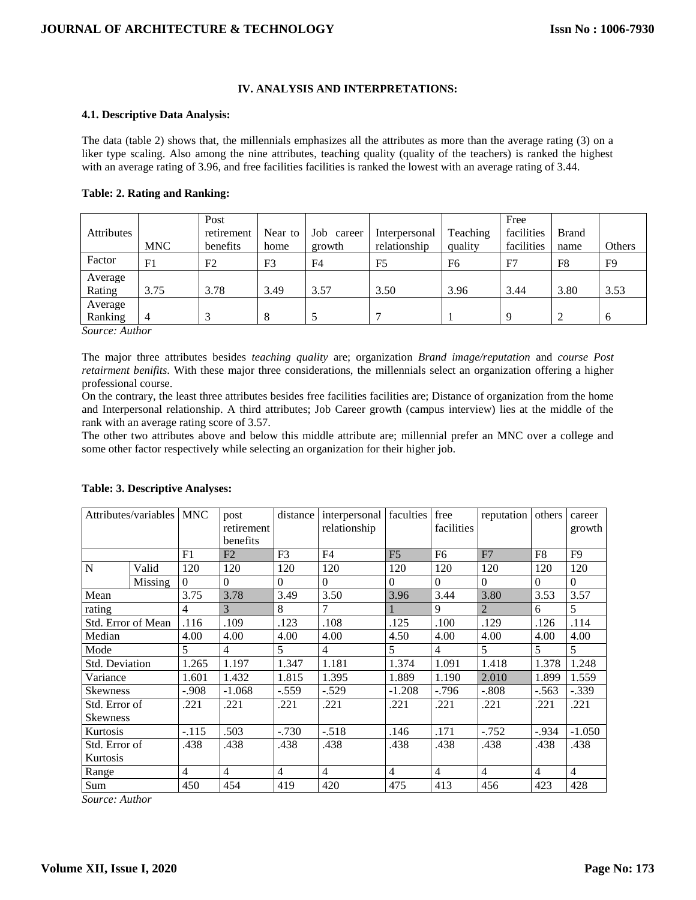# **IV. ANALYSIS AND INTERPRETATIONS:**

#### **4.1. Descriptive Data Analysis:**

The data (table 2) shows that, the millennials emphasizes all the attributes as more than the average rating (3) on a liker type scaling. Also among the nine attributes, teaching quality (quality of the teachers) is ranked the highest with an average rating of 3.96, and free facilities facilities is ranked the lowest with an average rating of 3.44.

|  |  |  |  | <b>Table: 2. Rating and Ranking:</b> |
|--|--|--|--|--------------------------------------|
|--|--|--|--|--------------------------------------|

|                   |            | Post       |                |                |                |          | Free       |                |                |
|-------------------|------------|------------|----------------|----------------|----------------|----------|------------|----------------|----------------|
| <b>Attributes</b> |            | retirement | Near to        | Job career     | Interpersonal  | Teaching | facilities | <b>Brand</b>   |                |
|                   | <b>MNC</b> | benefits   | home           | growth         | relationship   | quality  | facilities | name           | Others         |
| Factor            | F1         | F2         | F <sub>3</sub> | F <sub>4</sub> | F <sub>5</sub> | F6       | F7         | F <sub>8</sub> | F <sub>9</sub> |
| Average           |            |            |                |                |                |          |            |                |                |
| Rating            | 3.75       | 3.78       | 3.49           | 3.57           | 3.50           | 3.96     | 3.44       | 3.80           | 3.53           |
| Average           |            |            |                |                |                |          |            |                |                |
| Ranking           | 4          | $\sim$     | 8              |                |                |          | 9          | ി              | $\mathfrak{h}$ |

*Source: Author* 

The major three attributes besides *teaching quality* are; organization *Brand image/reputation* and *course Post retairment benifits*. With these major three considerations, the millennials select an organization offering a higher professional course.

On the contrary, the least three attributes besides free facilities facilities are; Distance of organization from the home and Interpersonal relationship. A third attributes; Job Career growth (campus interview) lies at the middle of the rank with an average rating score of 3.57.

The other two attributes above and below this middle attribute are; millennial prefer an MNC over a college and some other factor respectively while selecting an organization for their higher job.

|                    | Attributes/variables MNC |                | post           | distance       | interpersonal faculties |                | free           | reputation     | others         | career         |
|--------------------|--------------------------|----------------|----------------|----------------|-------------------------|----------------|----------------|----------------|----------------|----------------|
|                    |                          |                | retirement     |                | relationship            |                | facilities     |                |                | growth         |
|                    |                          |                | benefits       |                |                         |                |                |                |                |                |
|                    |                          | F1             | F2             | F <sub>3</sub> | F <sub>4</sub>          | F <sub>5</sub> | F <sub>6</sub> | F7             | F <sub>8</sub> | F <sub>9</sub> |
| N                  | Valid                    | 120            | 120            | 120            | 120                     | 120            | 120            | 120            | 120            | 120            |
|                    | Missing                  | $\theta$       | $\Omega$       | $\Omega$       | $\Omega$                | $\Omega$       | $\Omega$       | $\Omega$       | $\Omega$       | $\Omega$       |
| Mean               |                          | 3.75           | 3.78           | 3.49           | 3.50                    | 3.96           | 3.44           | 3.80           | 3.53           | 3.57           |
| rating             |                          | $\overline{4}$ | 3              | 8              | 7                       |                | 9              | $\overline{2}$ | 6              | 5              |
| Std. Error of Mean |                          | .116           | .109           | .123           | .108                    | .125           | .100           | .129           | .126           | .114           |
| Median             |                          | 4.00           | 4.00           | 4.00           | 4.00                    | 4.50           | 4.00           | 4.00           | 4.00           | 4.00           |
| Mode               |                          | 5              | $\overline{4}$ | 5              | $\overline{4}$          | 5              | $\overline{4}$ | 5              | 5              | 5              |
| Std. Deviation     |                          | 1.265          | 1.197          | 1.347          | 1.181                   | 1.374          | 1.091          | 1.418          | 1.378          | 1.248          |
| Variance           |                          | 1.601          | 1.432          | 1.815          | 1.395                   | 1.889          | 1.190          | 2.010          | 1.899          | 1.559          |
| <b>Skewness</b>    |                          | $-.908$        | $-1.068$       | $-.559$        | $-.529$                 | $-1.208$       | $-796$         | $-.808$        | $-.563$        | $-.339$        |
| Std. Error of      |                          | .221           | .221           | .221           | .221                    | .221           | .221           | .221           | .221           | .221           |
| <b>Skewness</b>    |                          |                |                |                |                         |                |                |                |                |                |
| Kurtosis           |                          | $-.115$        | .503           | $-0.730$       | $-.518$                 | .146           | .171           | $-.752$        | $-0.934$       | $-1.050$       |
| Std. Error of      |                          | .438           | .438           | .438           | .438                    | .438           | .438           | .438           | .438           | .438           |
| Kurtosis           |                          |                |                |                |                         |                |                |                |                |                |
| Range              |                          | $\overline{4}$ | $\overline{4}$ | $\overline{4}$ | $\overline{4}$          | $\overline{4}$ | $\overline{4}$ | $\overline{4}$ | $\overline{4}$ | $\overline{4}$ |
| Sum                |                          | 450            | 454            | 419            | 420                     | 475            | 413            | 456            | 423            | 428            |

#### **Table: 3. Descriptive Analyses:**

*Source: Author*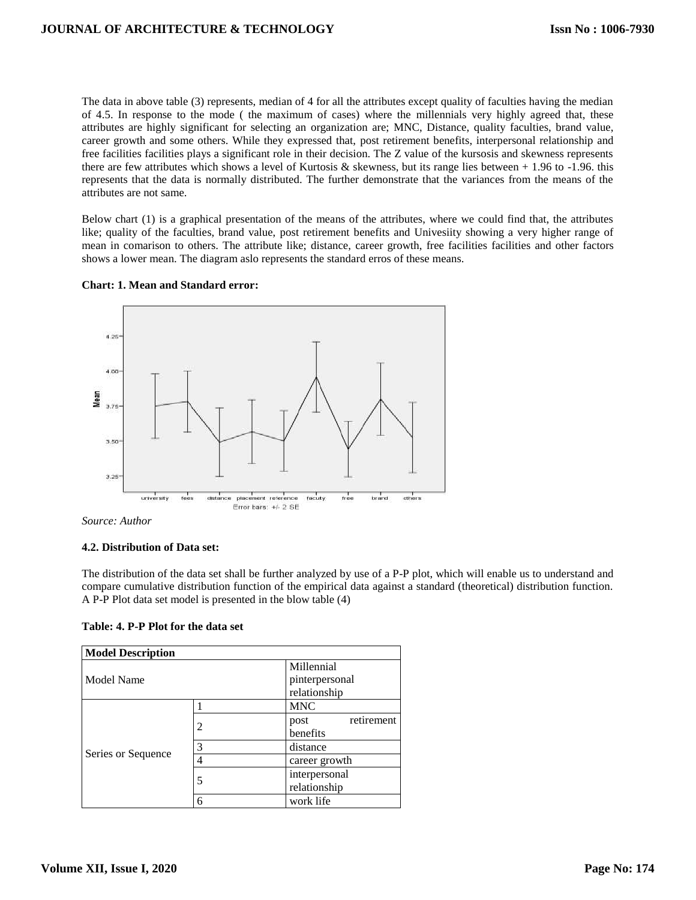The data in above table (3) represents, median of 4 for all the attributes except quality of faculties having the median of 4.5. In response to the mode ( the maximum of cases) where the millennials very highly agreed that, these attributes are highly significant for selecting an organization are; MNC, Distance, quality faculties, brand value, career growth and some others. While they expressed that, post retirement benefits, interpersonal relationship and free facilities facilities plays a significant role in their decision. The Z value of the kursosis and skewness represents there are few attributes which shows a level of Kurtosis & skewness, but its range lies between  $+ 1.96$  to  $-1.96$ . this represents that the data is normally distributed. The further demonstrate that the variances from the means of the attributes are not same.

Below chart (1) is a graphical presentation of the means of the attributes, where we could find that, the attributes like; quality of the faculties, brand value, post retirement benefits and Univesiity showing a very higher range of mean in comarison to others. The attribute like; distance, career growth, free facilities facilities and other factors shows a lower mean. The diagram aslo represents the standard erros of these means.



#### **Chart: 1. Mean and Standard error:**

*Source: Author* 

#### **4.2. Distribution of Data set:**

The distribution of the data set shall be further analyzed by use of a P-P plot, which will enable us to understand and compare cumulative distribution function of the empirical data against a standard (theoretical) distribution function. A P-P Plot data set model is presented in the blow table (4)

**Table: 4. P-P Plot for the data set**

| <b>Model Description</b> |   |                    |  |  |  |  |  |
|--------------------------|---|--------------------|--|--|--|--|--|
|                          |   | Millennial         |  |  |  |  |  |
| <b>Model Name</b>        |   | pinterpersonal     |  |  |  |  |  |
|                          |   | relationship       |  |  |  |  |  |
|                          |   | <b>MNC</b>         |  |  |  |  |  |
|                          | 2 | retirement<br>post |  |  |  |  |  |
|                          |   | benefits           |  |  |  |  |  |
|                          | 3 | distance           |  |  |  |  |  |
| Series or Sequence       |   | career growth      |  |  |  |  |  |
|                          | 5 | interpersonal      |  |  |  |  |  |
|                          |   | relationship       |  |  |  |  |  |
|                          | 6 | work life          |  |  |  |  |  |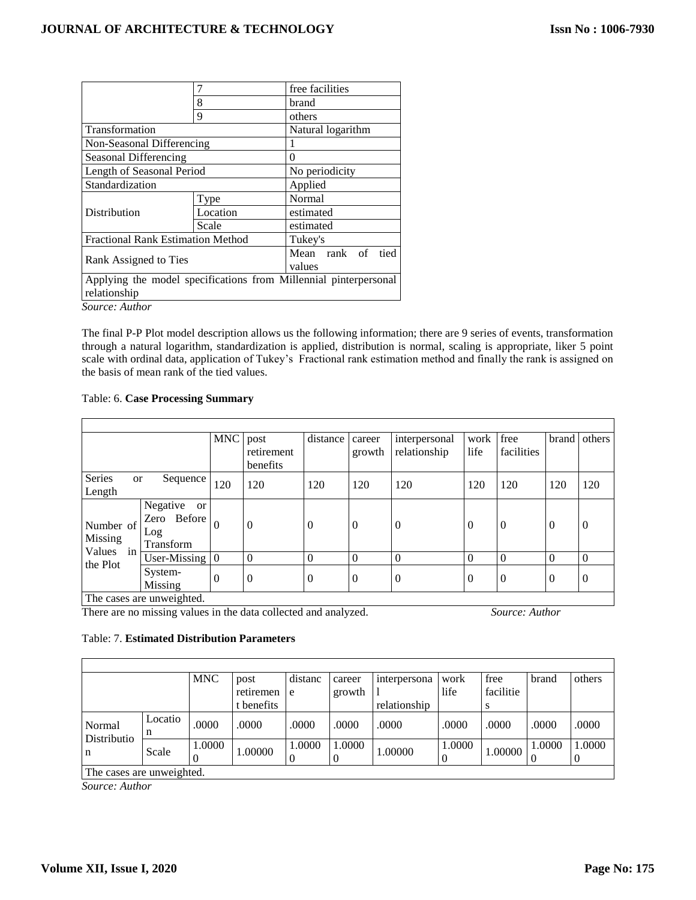|                                          |                                                                  | free facilities      |  |  |  |  |  |
|------------------------------------------|------------------------------------------------------------------|----------------------|--|--|--|--|--|
|                                          | 8                                                                | brand                |  |  |  |  |  |
|                                          | 9                                                                | others               |  |  |  |  |  |
| Transformation                           | Natural logarithm                                                |                      |  |  |  |  |  |
| Non-Seasonal Differencing                |                                                                  |                      |  |  |  |  |  |
| Seasonal Differencing                    | $\Omega$                                                         |                      |  |  |  |  |  |
| Length of Seasonal Period                | No periodicity                                                   |                      |  |  |  |  |  |
| Standardization                          | Applied                                                          |                      |  |  |  |  |  |
|                                          | Type                                                             | Normal               |  |  |  |  |  |
| Distribution                             | Location                                                         | estimated            |  |  |  |  |  |
|                                          | Scale                                                            | estimated            |  |  |  |  |  |
| <b>Fractional Rank Estimation Method</b> |                                                                  | Tukey's              |  |  |  |  |  |
|                                          |                                                                  | Mean rank of<br>tied |  |  |  |  |  |
| Rank Assigned to Ties                    | values                                                           |                      |  |  |  |  |  |
|                                          | Applying the model specifications from Millennial pinterpersonal |                      |  |  |  |  |  |
| relationship                             |                                                                  |                      |  |  |  |  |  |
| Source: Author                           |                                                                  |                      |  |  |  |  |  |

The final P-P Plot model description allows us the following information; there are 9 series of events, transformation through a natural logarithm, standardization is applied, distribution is normal, scaling is appropriate, liker 5 point scale with ordinal data, application of Tukey's Fractional rank estimation method and finally the rank is assigned on the basis of mean rank of the tied values.

# Table: 6. **Case Processing Summary**

|                        |                                                          | <b>MNC</b>     | post<br>retirement<br>benefits | distance       | career<br>growth | interpersonal<br>relationship | work<br>life   | free<br>facilities | brand          | others           |
|------------------------|----------------------------------------------------------|----------------|--------------------------------|----------------|------------------|-------------------------------|----------------|--------------------|----------------|------------------|
| Series<br>or<br>Length | Sequence                                                 | 120            | 120                            | 120            | 120              | 120                           | 120            | 120                | 120            | 120              |
| Number of<br>Missing   | Negative<br><b>or</b><br>Zero Before<br>Log<br>Transform | $\theta$       | $\theta$                       | $\theta$       | $\theta$         | $\theta$                      | $\Omega$       | $\Omega$           | $\overline{0}$ | $\boldsymbol{0}$ |
| Values in<br>the Plot  | User-Missing                                             | $\overline{0}$ | $\Omega$                       | $\Omega$       | $\theta$         | $\theta$                      | $\Omega$       | $\theta$           | $\theta$       | $\Omega$         |
|                        | System-<br>Missing                                       | $\Omega$       | $\Omega$                       | $\overline{0}$ | $\overline{0}$   | $\overline{0}$                | $\overline{0}$ | $\theta$           | $\overline{0}$ | $\overline{0}$   |
|                        | The cases are unweighted.                                |                |                                |                |                  |                               |                |                    |                |                  |

There are no missing values in the data collected and analyzed. *Source: Author* 

#### Table: 7. **Estimated Distribution Parameters**

|             |                           | <b>MNC</b> | post<br>retiremen | distanc<br>e | career<br>growth | interpersona | work<br>life | free<br>facilitie | brand  | others |  |
|-------------|---------------------------|------------|-------------------|--------------|------------------|--------------|--------------|-------------------|--------|--------|--|
|             |                           |            | t benefits        |              |                  | relationship |              |                   |        |        |  |
| Normal      | Locatio                   | .0000      | .0000             | .0000        | .0000            | .0000        | .0000        | .0000             | .0000  | .0000  |  |
| Distributio | Scale                     | 1.0000     | 1.00000           | 1.0000       | 1.0000           | 1.00000      | 1.0000       | 1.00000           | 1.0000 | 1.0000 |  |
| n           |                           |            |                   |              |                  |              |              |                   |        |        |  |
|             | The cases are unweighted. |            |                   |              |                  |              |              |                   |        |        |  |

*Source: Author* 

г

٦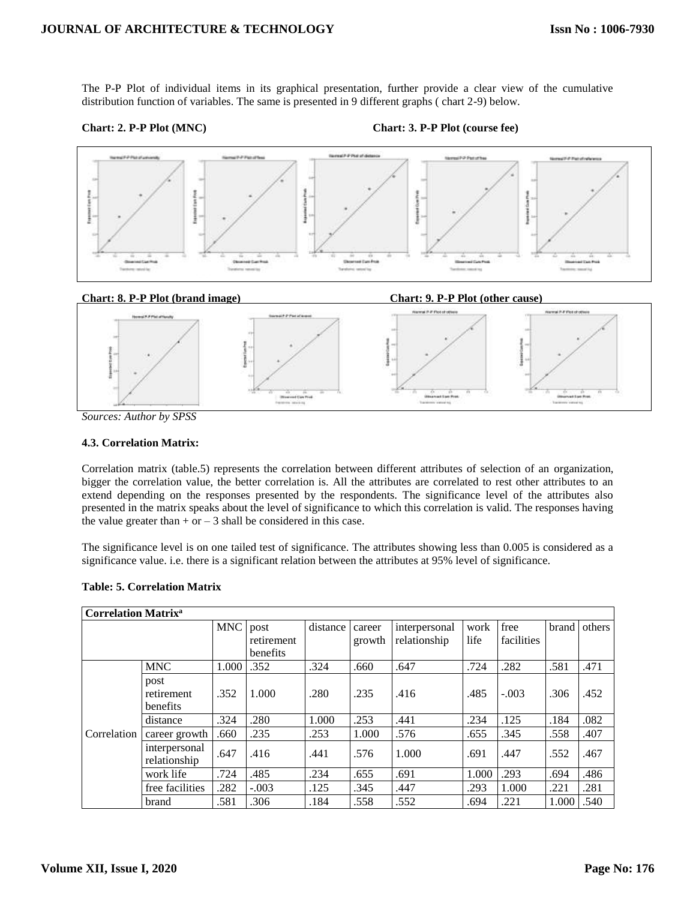The P-P Plot of individual items in its graphical presentation, further provide a clear view of the cumulative distribution function of variables. The same is presented in 9 different graphs ( chart 2-9) below.

# **Chart: 2. P-P Plot (MNC) Chart: 3. P-P Plot (course fee)**



*Sources: Author by SPSS*

#### **4.3. Correlation Matrix:**

Correlation matrix (table.5) represents the correlation between different attributes of selection of an organization, bigger the correlation value, the better correlation is. All the attributes are correlated to rest other attributes to an extend depending on the responses presented by the respondents. The significance level of the attributes also presented in the matrix speaks about the level of significance to which this correlation is valid. The responses having the value greater than  $+$  or  $-$  3 shall be considered in this case.

The significance level is on one tailed test of significance. The attributes showing less than 0.005 is considered as a significance value. i.e. there is a significant relation between the attributes at 95% level of significance.

|             | <b>Correlation Matrix<sup>a</sup></b> |            |            |          |        |               |       |            |              |        |  |
|-------------|---------------------------------------|------------|------------|----------|--------|---------------|-------|------------|--------------|--------|--|
|             |                                       | <b>MNC</b> | post       | distance | career | interpersonal | work  | free       | <b>brand</b> | others |  |
|             |                                       |            | retirement |          | growth | relationship  | life  | facilities |              |        |  |
|             |                                       |            | benefits   |          |        |               |       |            |              |        |  |
|             | <b>MNC</b>                            | 1.000      | .352       | .324     | .660   | .647          | .724  | .282       | .581         | .471   |  |
|             | post<br>retirement<br><b>benefits</b> | .352       | 1.000      | .280     | .235   | .416          | .485  | $-.003$    | .306         | .452   |  |
|             | distance                              | .324       | .280       | 1.000    | .253   | .441          | .234  | .125       | .184         | .082   |  |
| Correlation | career growth                         | .660       | .235       | .253     | 1.000  | .576          | .655  | .345       | .558         | .407   |  |
|             | interpersonal<br>relationship         | .647       | .416       | .441     | .576   | 1.000         | .691  | .447       | .552         | .467   |  |
|             | work life                             | .724       | .485       | .234     | .655   | .691          | 1.000 | .293       | .694         | .486   |  |
|             | free facilities                       | .282       | $-.003$    | .125     | .345   | .447          | .293  | 1.000      | .221         | .281   |  |
|             | brand                                 | .581       | .306       | .184     | .558   | .552          | .694  | .221       | 1.000        | .540   |  |

# **Table: 5. Correlation Matrix**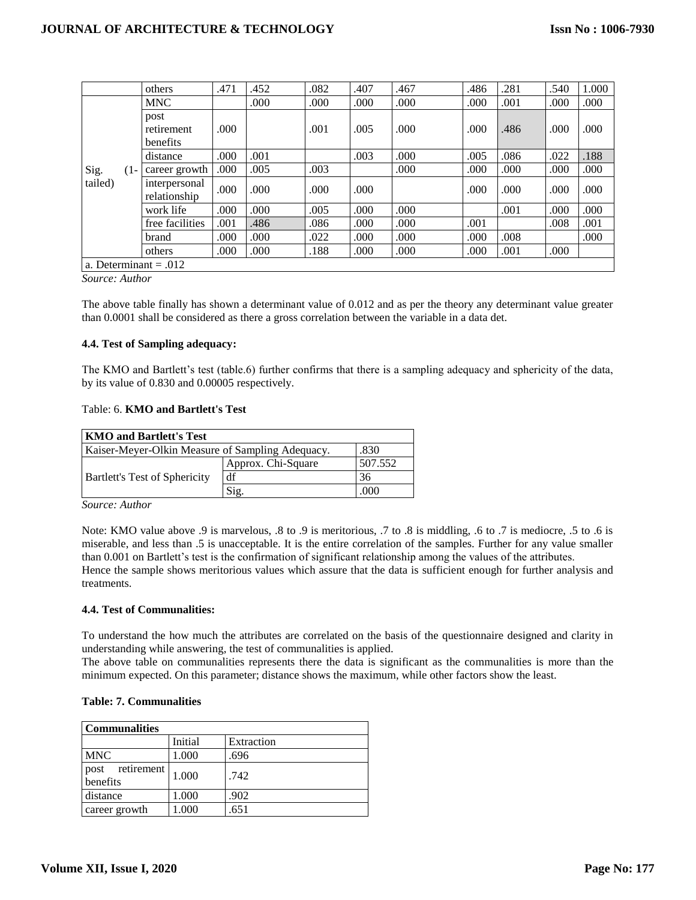|         |        | others                         | .471 | .452 | .082 | .407 | .467 | .486 | .281 | .540 | 1.000 |
|---------|--------|--------------------------------|------|------|------|------|------|------|------|------|-------|
|         |        | <b>MNC</b>                     |      | .000 | .000 | .000 | .000 | .000 | .001 | .000 | .000  |
|         |        | post<br>retirement<br>benefits | .000 |      | .001 | .005 | .000 | .000 | .486 | .000 | .000  |
|         |        | distance                       | .000 | .001 |      | .003 | .000 | .005 | .086 | .022 | .188  |
| Sig.    | $(1 -$ | career growth                  | .000 | .005 | .003 |      | .000 | .000 | .000 | .000 | .000  |
| tailed) |        | interpersonal<br>relationship  | .000 | .000 | .000 | .000 |      | .000 | .000 | .000 | .000  |
|         |        | work life                      | .000 | .000 | .005 | .000 | .000 |      | .001 | .000 | .000  |
|         |        | free facilities                | .001 | .486 | .086 | .000 | .000 | .001 |      | .008 | .001  |
|         |        | brand                          | .000 | .000 | .022 | .000 | .000 | .000 | .008 |      | .000  |
|         |        | others                         | .000 | .000 | .188 | .000 | .000 | .000 | .001 | .000 |       |
|         |        | a. Determinant = $.012$        |      |      |      |      |      |      |      |      |       |

*Source: Author* 

The above table finally has shown a determinant value of 0.012 and as per the theory any determinant value greater than 0.0001 shall be considered as there a gross correlation between the variable in a data det.

# **4.4. Test of Sampling adequacy:**

The KMO and Bartlett's test (table.6) further confirms that there is a sampling adequacy and sphericity of the data, by its value of 0.830 and 0.00005 respectively.

# Table: 6. **KMO and Bartlett's Test**

| KMO and Bartlett's Test                                  |                             |         |  |  |  |  |  |
|----------------------------------------------------------|-----------------------------|---------|--|--|--|--|--|
| Kaiser-Meyer-Olkin Measure of Sampling Adequacy.<br>.830 |                             |         |  |  |  |  |  |
|                                                          | Approx. Chi-Square          | 507.552 |  |  |  |  |  |
| Bartlett's Test of Sphericity                            | df                          | 36      |  |  |  |  |  |
|                                                          | $\mathrm{Si}_{\mathcal{P}}$ | .000    |  |  |  |  |  |

*Source: Author* 

Note: KMO value above .9 is marvelous, .8 to .9 is meritorious, .7 to .8 is middling, .6 to .7 is mediocre, .5 to .6 is miserable, and less than .5 is unacceptable. It is the entire correlation of the samples. Further for any value smaller than 0.001 on Bartlett's test is the confirmation of significant relationship among the values of the attributes. Hence the sample shows meritorious values which assure that the data is sufficient enough for further analysis and treatments.

# **4.4. Test of Communalities:**

To understand the how much the attributes are correlated on the basis of the questionnaire designed and clarity in understanding while answering, the test of communalities is applied.

The above table on communalities represents there the data is significant as the communalities is more than the minimum expected. On this parameter; distance shows the maximum, while other factors show the least.

# **Table: 7. Communalities**

| <b>Communalities</b>           |         |            |  |  |  |  |  |  |
|--------------------------------|---------|------------|--|--|--|--|--|--|
|                                | Initial | Extraction |  |  |  |  |  |  |
| <b>MNC</b>                     | 1.000   | .696       |  |  |  |  |  |  |
| retirement<br>post<br>benefits | 1.000   | .742       |  |  |  |  |  |  |
| distance                       | 1.000   | .902       |  |  |  |  |  |  |
| career growth                  | .000    | .651       |  |  |  |  |  |  |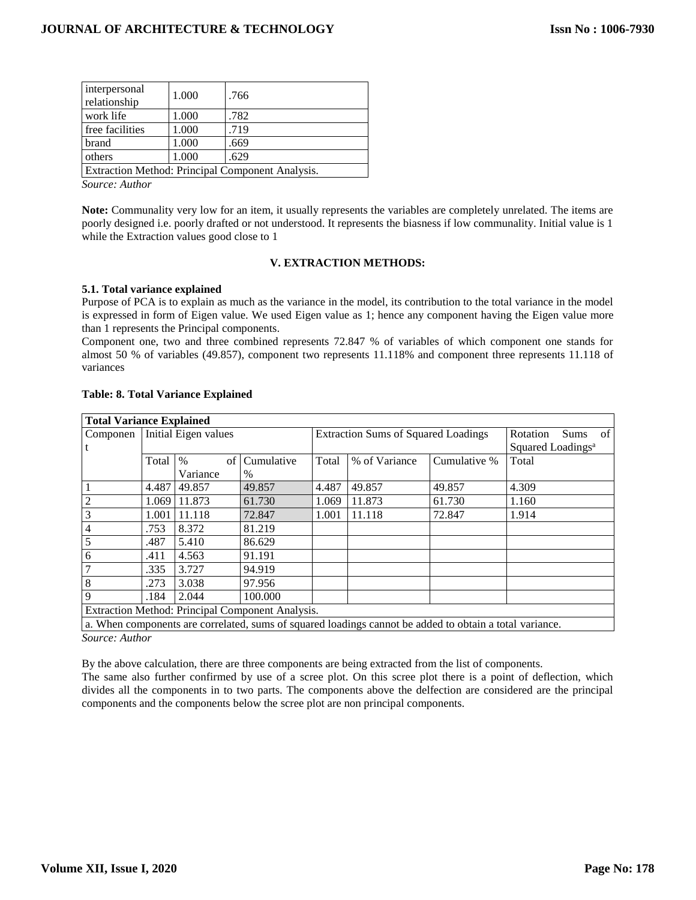| interpersonal<br>relationship | 1.000 | .766                                                     |
|-------------------------------|-------|----------------------------------------------------------|
| work life                     | 1.000 | .782                                                     |
| free facilities               | 1.000 | .719                                                     |
| brand                         | 1.000 | .669                                                     |
| others                        | 1.000 | .629                                                     |
|                               |       | $\Gamma$ Extraction Mathod: Principal Component Analysis |

Extraction Method: Principal Component Analysis.

*Source: Author* 

**Note:** Communality very low for an item, it usually represents the variables are completely unrelated. The items are poorly designed i.e. poorly drafted or not understood. It represents the biasness if low communality. Initial value is 1 while the Extraction values good close to 1

# **V. EXTRACTION METHODS:**

# **5.1. Total variance explained**

Purpose of PCA is to explain as much as the variance in the model, its contribution to the total variance in the model is expressed in form of Eigen value. We used Eigen value as 1; hence any component having the Eigen value more than 1 represents the Principal components.

Component one, two and three combined represents 72.847 % of variables of which component one stands for almost 50 % of variables (49.857), component two represents 11.118% and component three represents 11.118 of variances

| <b>Total Variance Explained</b> |                          |            |                                                  |                                            |                                                                                                         |              |                               |  |
|---------------------------------|--------------------------|------------|--------------------------------------------------|--------------------------------------------|---------------------------------------------------------------------------------------------------------|--------------|-------------------------------|--|
| Componen                        | Initial Eigen values     |            |                                                  | <b>Extraction Sums of Squared Loadings</b> | Rotation<br>of<br><b>Sums</b>                                                                           |              |                               |  |
|                                 |                          |            |                                                  |                                            |                                                                                                         |              | Squared Loadings <sup>a</sup> |  |
|                                 | Total                    | $\%$<br>of | Cumulative                                       | Total                                      | % of Variance                                                                                           | Cumulative % | Total                         |  |
|                                 |                          | Variance   | $\frac{0}{0}$                                    |                                            |                                                                                                         |              |                               |  |
|                                 | 4.487                    | 49.857     | 49.857                                           | 4.487                                      | 49.857                                                                                                  | 49.857       | 4.309                         |  |
| 2                               | 1.069                    | 11.873     | 61.730                                           | 1.069                                      | 11.873                                                                                                  | 61.730       | 1.160                         |  |
| 3                               | 1.001                    | 11.118     | 72.847                                           | 1.001                                      | 11.118                                                                                                  | 72.847       | 1.914                         |  |
| 4                               | .753                     | 8.372      | 81.219                                           |                                            |                                                                                                         |              |                               |  |
| 5                               | .487                     | 5.410      | 86.629                                           |                                            |                                                                                                         |              |                               |  |
| 6                               | .411                     | 4.563      | 91.191                                           |                                            |                                                                                                         |              |                               |  |
|                                 | .335                     | 3.727      | 94.919                                           |                                            |                                                                                                         |              |                               |  |
| 8                               | .273                     | 3.038      | 97.956                                           |                                            |                                                                                                         |              |                               |  |
| q                               | 100.000<br>.184<br>2.044 |            |                                                  |                                            |                                                                                                         |              |                               |  |
|                                 |                          |            | Extraction Method: Principal Component Analysis. |                                            |                                                                                                         |              |                               |  |
|                                 |                          |            |                                                  |                                            | a. When components are correlated, sums of squared loadings cannot be added to obtain a total variance. |              |                               |  |

# **Table: 8. Total Variance Explained**

*Source: Author* 

By the above calculation, there are three components are being extracted from the list of components.

The same also further confirmed by use of a scree plot. On this scree plot there is a point of deflection, which divides all the components in to two parts. The components above the delfection are considered are the principal components and the components below the scree plot are non principal components.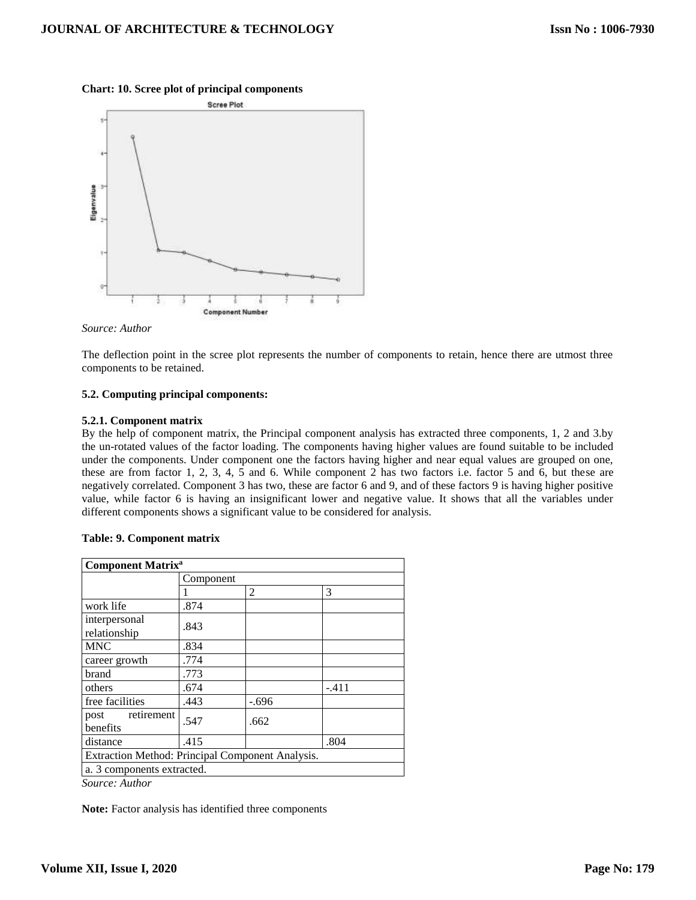



#### *Source: Author*

The deflection point in the scree plot represents the number of components to retain, hence there are utmost three components to be retained.

# **5.2. Computing principal components:**

#### **5.2.1. Component matrix**

By the help of component matrix, the Principal component analysis has extracted three components, 1, 2 and 3.by the un-rotated values of the factor loading. The components having higher values are found suitable to be included under the components. Under component one the factors having higher and near equal values are grouped on one, these are from factor 1, 2, 3, 4, 5 and 6. While component 2 has two factors i.e. factor 5 and 6, but these are negatively correlated. Component 3 has two, these are factor 6 and 9, and of these factors 9 is having higher positive value, while factor 6 is having an insignificant lower and negative value. It shows that all the variables under different components shows a significant value to be considered for analysis.

| <b>Component Matrix<sup>a</sup></b>              |           |                |         |  |  |  |
|--------------------------------------------------|-----------|----------------|---------|--|--|--|
|                                                  | Component |                |         |  |  |  |
|                                                  |           | $\overline{c}$ | 3       |  |  |  |
| work life                                        | .874      |                |         |  |  |  |
| interpersonal<br>relationship                    | .843      |                |         |  |  |  |
| <b>MNC</b>                                       | .834      |                |         |  |  |  |
| career growth                                    | .774      |                |         |  |  |  |
| brand                                            | .773      |                |         |  |  |  |
| others                                           | .674      |                | $-.411$ |  |  |  |
| free facilities                                  | .443      | $-.696$        |         |  |  |  |
| retirement<br>post<br>benefits                   | .547      | .662           |         |  |  |  |
| distance                                         | .415      |                | .804    |  |  |  |
| Extraction Method: Principal Component Analysis. |           |                |         |  |  |  |
| a. 3 components extracted.                       |           |                |         |  |  |  |
| $\alpha$ $\alpha$                                |           |                |         |  |  |  |

#### **Table: 9. Component matrix**

*Source: Author* 

**Note:** Factor analysis has identified three components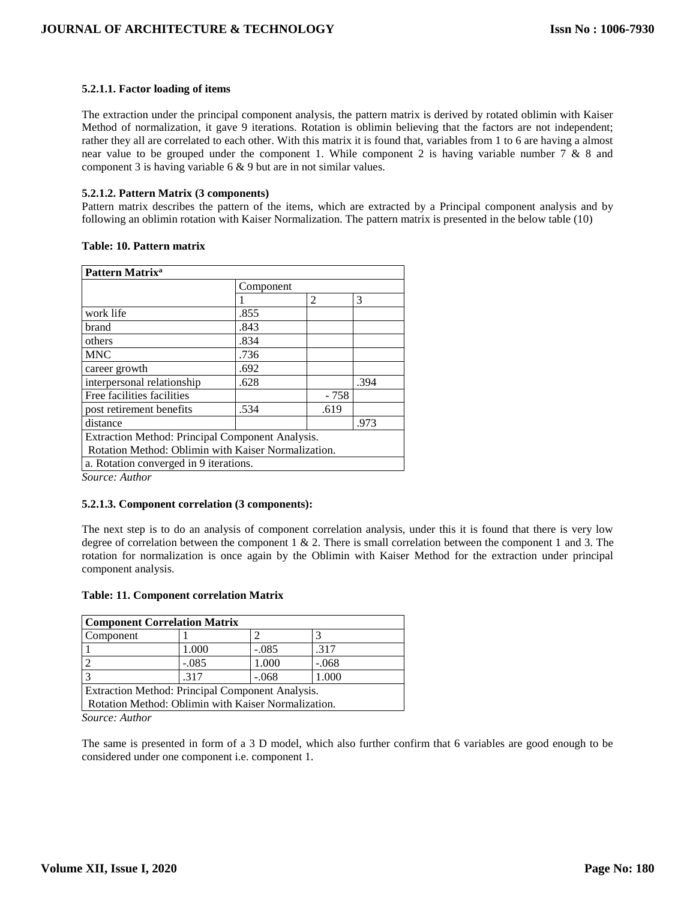# **5.2.1.1. Factor loading of items**

The extraction under the principal component analysis, the pattern matrix is derived by rotated oblimin with Kaiser Method of normalization, it gave 9 iterations. Rotation is oblimin believing that the factors are not independent; rather they all are correlated to each other. With this matrix it is found that, variables from 1 to 6 are having a almost near value to be grouped under the component 1. While component 2 is having variable number 7 & 8 and component 3 is having variable 6 & 9 but are in not similar values.

# **5.2.1.2. Pattern Matrix (3 components)**

Pattern matrix describes the pattern of the items, which are extracted by a Principal component analysis and by following an oblimin rotation with Kaiser Normalization. The pattern matrix is presented in the below table (10)

# **Table: 10. Pattern matrix**

| Pattern Matrix <sup>a</sup>                         |           |       |      |  |  |  |  |
|-----------------------------------------------------|-----------|-------|------|--|--|--|--|
|                                                     | Component |       |      |  |  |  |  |
|                                                     |           | 2     | 3    |  |  |  |  |
| work life                                           | .855      |       |      |  |  |  |  |
| brand                                               | .843      |       |      |  |  |  |  |
| others                                              | .834      |       |      |  |  |  |  |
| <b>MNC</b>                                          | .736      |       |      |  |  |  |  |
| career growth                                       | .692      |       |      |  |  |  |  |
| interpersonal relationship                          | .628      |       | .394 |  |  |  |  |
| Free facilities facilities                          |           | - 758 |      |  |  |  |  |
| post retirement benefits                            | .534      | .619  |      |  |  |  |  |
| distance                                            |           |       | .973 |  |  |  |  |
| Extraction Method: Principal Component Analysis.    |           |       |      |  |  |  |  |
| Rotation Method: Oblimin with Kaiser Normalization. |           |       |      |  |  |  |  |
| a. Rotation converged in 9 iterations.              |           |       |      |  |  |  |  |
| $\sim$<br>$\cdots$                                  |           |       |      |  |  |  |  |

*Source: Author* 

#### **5.2.1.3. Component correlation (3 components):**

The next step is to do an analysis of component correlation analysis, under this it is found that there is very low degree of correlation between the component  $1 \& 2$ . There is small correlation between the component 1 and 3. The rotation for normalization is once again by the Oblimin with Kaiser Method for the extraction under principal component analysis.

|  | <b>Table: 11. Component correlation Matrix</b> |  |  |
|--|------------------------------------------------|--|--|
|--|------------------------------------------------|--|--|

| <b>Component Correlation Matrix</b>                 |         |         |         |  |  |  |
|-----------------------------------------------------|---------|---------|---------|--|--|--|
| Component                                           |         |         |         |  |  |  |
|                                                     | 1.000   | $-.085$ | .317    |  |  |  |
|                                                     | $-.085$ | 1.000   | $-.068$ |  |  |  |
|                                                     | .317    | $-.068$ | 1.000   |  |  |  |
| Extraction Method: Principal Component Analysis.    |         |         |         |  |  |  |
| Rotation Method: Oblimin with Kaiser Normalization. |         |         |         |  |  |  |

*Source: Author* 

The same is presented in form of a 3 D model, which also further confirm that 6 variables are good enough to be considered under one component i.e. component 1.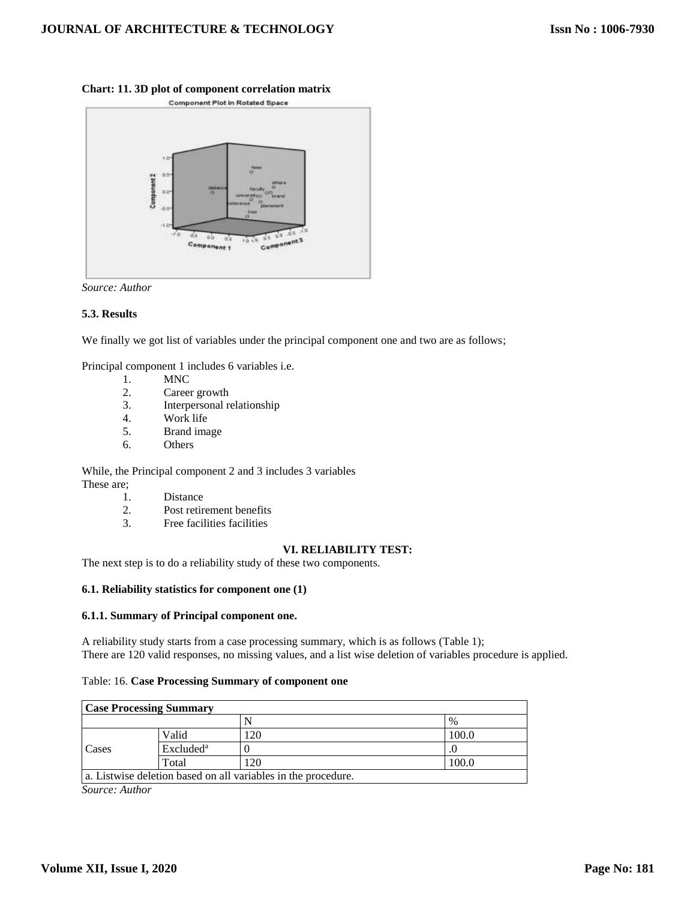

# **Chart: 11. 3D plot of component correlation matrix**

*Source: Author* 

#### **5.3. Results**

We finally we got list of variables under the principal component one and two are as follows;

Principal component 1 includes 6 variables i.e.

- 1. MNC
- 2. Career growth
- 3. Interpersonal relationship
- 4. Work life
- 5. Brand image
- 6. Others

While, the Principal component 2 and 3 includes 3 variables These are;

- 1. Distance
- 2. Post retirement benefits
- 3. Free facilities facilities

# **VI. RELIABILITY TEST:**

The next step is to do a reliability study of these two components.

#### **6.1. Reliability statistics for component one (1)**

#### **6.1.1. Summary of Principal component one.**

A reliability study starts from a case processing summary, which is as follows (Table 1); There are 120 valid responses, no missing values, and a list wise deletion of variables procedure is applied.

#### Table: 16. **Case Processing Summary of component one**

| <b>Case Processing Summary</b>                                |                       |     |       |  |  |
|---------------------------------------------------------------|-----------------------|-----|-------|--|--|
|                                                               |                       |     | %     |  |  |
| Cases                                                         | Valid                 | 120 | 100.0 |  |  |
|                                                               | Excluded <sup>a</sup> |     |       |  |  |
|                                                               | Total                 | 120 | 100.0 |  |  |
| a. Listwise deletion based on all variables in the procedure. |                       |     |       |  |  |

*Source: Author*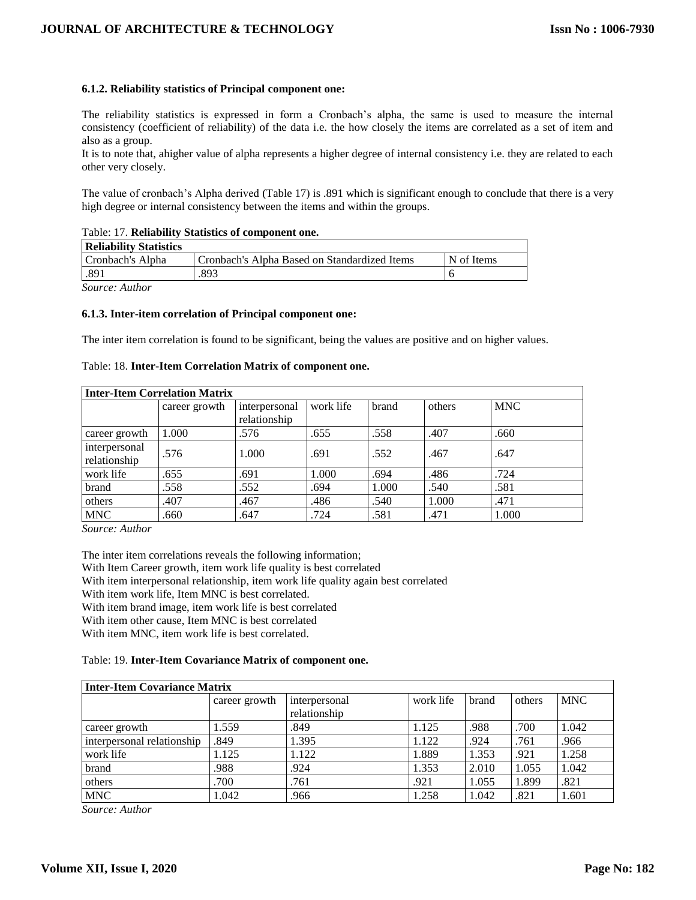# **6.1.2. Reliability statistics of Principal component one:**

The reliability statistics is expressed in form a Cronbach's alpha, the same is used to measure the internal consistency (coefficient of reliability) of the data i.e. the how closely the items are correlated as a set of item and also as a group.

It is to note that, ahigher value of alpha represents a higher degree of internal consistency i.e. they are related to each other very closely.

The value of cronbach's Alpha derived (Table 17) is .891 which is significant enough to conclude that there is a very high degree or internal consistency between the items and within the groups.

| Table. 17. Renability Statistics of component one. |                                              |            |  |  |  |  |
|----------------------------------------------------|----------------------------------------------|------------|--|--|--|--|
| Reliability Statistics                             |                                              |            |  |  |  |  |
| Cronbach's Alpha                                   | Cronbach's Alpha Based on Standardized Items | N of Items |  |  |  |  |
| .89 <sub>1</sub>                                   | .893                                         |            |  |  |  |  |
| --                                                 |                                              |            |  |  |  |  |

# Table: 17. **Reliability Statistics of component one.**

*Source: Author* 

#### **6.1.3. Inter-item correlation of Principal component one:**

The inter item correlation is found to be significant, being the values are positive and on higher values.

#### Table: 18. **Inter-Item Correlation Matrix of component one.**

| <b>Inter-Item Correlation Matrix</b> |               |                               |           |       |        |            |  |
|--------------------------------------|---------------|-------------------------------|-----------|-------|--------|------------|--|
|                                      | career growth | interpersonal<br>relationship | work life | brand | others | <b>MNC</b> |  |
| career growth                        | 1.000         | .576                          | .655      | .558  | .407   | .660       |  |
| interpersonal<br>relationship        | .576          | 1.000                         | .691      | .552  | .467   | .647       |  |
| work life                            | .655          | .691                          | 1.000     | .694  | .486   | .724       |  |
| brand                                | .558          | .552                          | .694      | 1.000 | .540   | .581       |  |
| others                               | .407          | .467                          | .486      | .540  | 1.000  | .471       |  |
| <b>MNC</b>                           | .660          | .647                          | .724      | .581  | .471   | 1.000      |  |

*Source: Author* 

The inter item correlations reveals the following information; With Item Career growth, item work life quality is best correlated With item interpersonal relationship, item work life quality again best correlated With item work life, Item MNC is best correlated. With item brand image, item work life is best correlated With item other cause, Item MNC is best correlated With item MNC, item work life is best correlated.

Table: 19. **Inter-Item Covariance Matrix of component one.**

| Inter-Item Covariance Matrix |               |               |           |       |        |            |  |  |
|------------------------------|---------------|---------------|-----------|-------|--------|------------|--|--|
|                              | career growth | interpersonal | work life | brand | others | <b>MNC</b> |  |  |
|                              |               | relationship  |           |       |        |            |  |  |
| career growth                | 1.559         | .849          | 1.125     | .988  | .700   | 1.042      |  |  |
| interpersonal relationship   | .849          | 1.395         | 1.122     | .924  | .761   | .966       |  |  |
| work life                    | 1.125         | 1.122         | 1.889     | 1.353 | .921   | 1.258      |  |  |
| brand                        | .988          | .924          | 1.353     | 2.010 | 1.055  | 1.042      |  |  |
| others                       | .700          | .761          | .921      | 1.055 | 1.899  | .821       |  |  |
| <b>MNC</b>                   | 1.042         | .966          | 1.258     | 1.042 | .821   | 1.601      |  |  |

*Source: Author*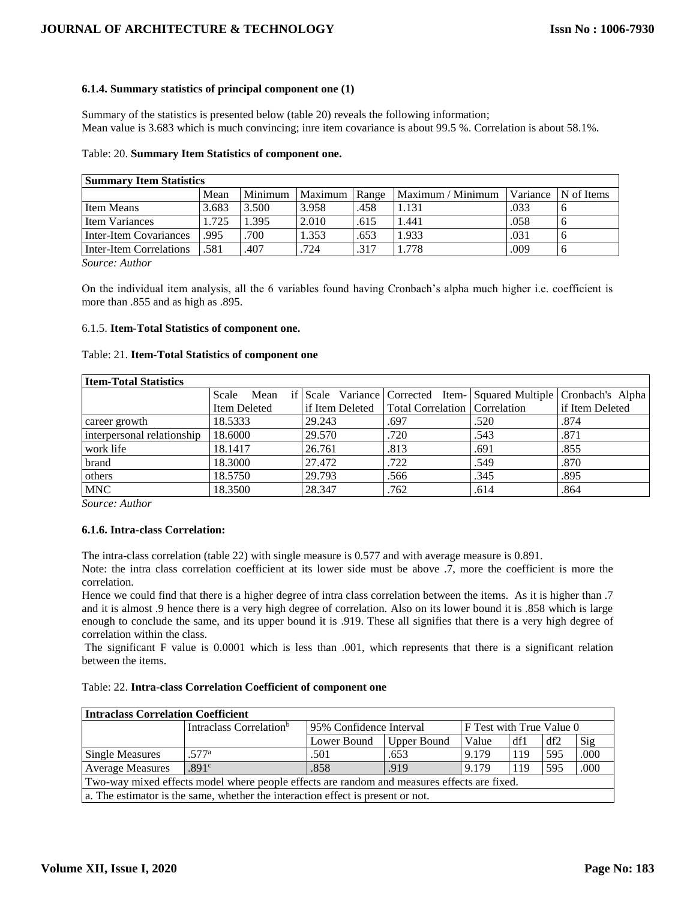# **6.1.4. Summary statistics of principal component one (1)**

Summary of the statistics is presented below (table 20) reveals the following information; Mean value is 3.683 which is much convincing; inre item covariance is about 99.5 %. Correlation is about 58.1%.

# Table: 20. **Summary Item Statistics of component one.**

| <b>Summary Item Statistics</b> |       |         |               |      |                   |      |                     |  |
|--------------------------------|-------|---------|---------------|------|-------------------|------|---------------------|--|
|                                | Mean  | Minimum | Maximum Range |      | Maximum / Minimum |      | Variance N of Items |  |
| Item Means                     | 3.683 | 3.500   | 3.958         | .458 | 1.131             | .033 |                     |  |
| <b>Item Variances</b>          | 1.725 | 1.395   | 2.010         | .615 | 1.441             | .058 |                     |  |
| Inter-Item Covariances         | .995  | .700    | 1.353         | .653 | 1.933             | .031 |                     |  |
| Inter-Item Correlations        | .581  | .407    | .724          | .317 | 1.778             | .009 |                     |  |

*Source: Author* 

On the individual item analysis, all the 6 variables found having Cronbach's alpha much higher i.e. coefficient is more than .855 and as high as .895.

# 6.1.5. **Item-Total Statistics of component one.**

#### Table: 21. **Item-Total Statistics of component one**

| <b>Item-Total Statistics</b> |               |        |                                                   |      |                                                                     |  |  |  |
|------------------------------|---------------|--------|---------------------------------------------------|------|---------------------------------------------------------------------|--|--|--|
|                              | Scale<br>Mean |        |                                                   |      | if Scale Variance Corrected Item- Squared Multiple Cronbach's Alpha |  |  |  |
|                              | Item Deleted  |        | if Item Deleted   Total Correlation   Correlation |      | if Item Deleted                                                     |  |  |  |
| career growth                | 18.5333       | 29.243 | .697                                              | .520 | .874                                                                |  |  |  |
| interpersonal relationship   | 18.6000       | 29.570 | .720                                              | .543 | .871                                                                |  |  |  |
| work life                    | 18.1417       | 26.761 | .813                                              | .691 | .855                                                                |  |  |  |
| brand                        | 18.3000       | 27.472 | .722                                              | .549 | .870                                                                |  |  |  |
| others                       | 18.5750       | 29.793 | .566                                              | .345 | .895                                                                |  |  |  |
| <b>MNC</b>                   | 18.3500       | 28.347 | .762                                              | .614 | .864                                                                |  |  |  |

*Source: Author* 

#### **6.1.6. Intra-class Correlation:**

The intra-class correlation (table 22) with single measure is 0.577 and with average measure is 0.891.

Note: the intra class correlation coefficient at its lower side must be above .7, more the coefficient is more the correlation.

Hence we could find that there is a higher degree of intra class correlation between the items. As it is higher than .7 and it is almost .9 hence there is a very high degree of correlation. Also on its lower bound it is .858 which is large enough to conclude the same, and its upper bound it is .919. These all signifies that there is a very high degree of correlation within the class.

The significant F value is 0.0001 which is less than .001, which represents that there is a significant relation between the items.

| Table: 22. Intra-class Correlation Coefficient of component one |  |  |  |
|-----------------------------------------------------------------|--|--|--|
|-----------------------------------------------------------------|--|--|--|

| <b>Intraclass Correlation Coefficient</b>                                                   |                                                                                 |                         |                          |       |     |     |      |  |
|---------------------------------------------------------------------------------------------|---------------------------------------------------------------------------------|-------------------------|--------------------------|-------|-----|-----|------|--|
|                                                                                             | Intraclass Correlation <sup>b</sup>                                             | 95% Confidence Interval | F Test with True Value 0 |       |     |     |      |  |
|                                                                                             |                                                                                 | Lower Bound             | <b>Upper Bound</b>       | Value | df1 | df2 | Sig  |  |
| <b>Single Measures</b>                                                                      | .577a                                                                           | .501                    | .653                     | 9.179 | 119 | 595 | .000 |  |
| <b>Average Measures</b>                                                                     | .891 <sup>c</sup>                                                               | .858                    | .919                     | 9.179 | 119 | 595 | .000 |  |
| Two-way mixed effects model where people effects are random and measures effects are fixed. |                                                                                 |                         |                          |       |     |     |      |  |
|                                                                                             | a. The estimator is the same, whether the interaction effect is present or not. |                         |                          |       |     |     |      |  |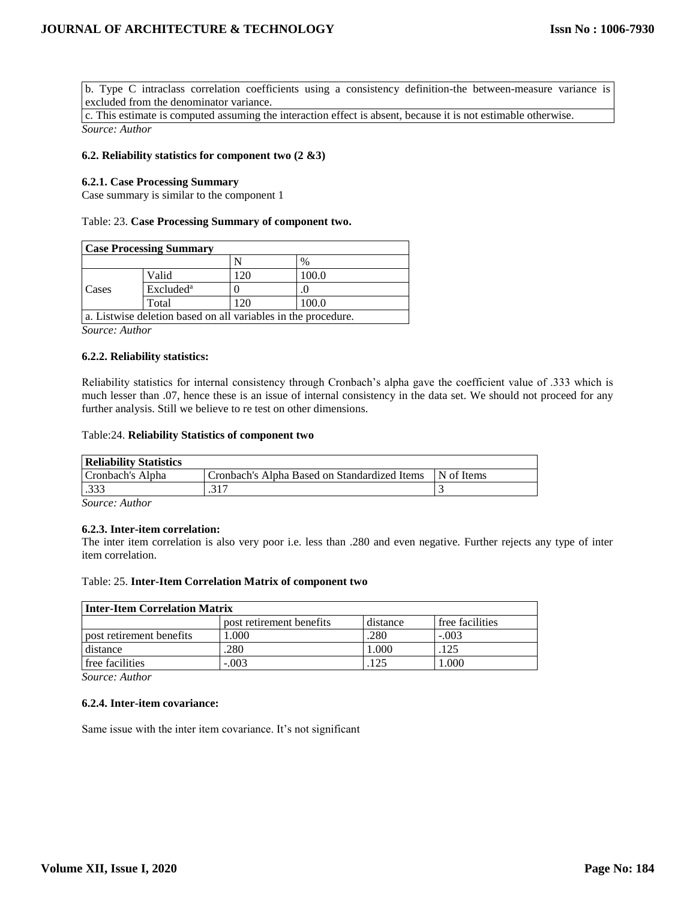b. Type C intraclass correlation coefficients using a consistency definition-the between-measure variance is excluded from the denominator variance.

c. This estimate is computed assuming the interaction effect is absent, because it is not estimable otherwise. *Source: Author* 

#### **6.2. Reliability statistics for component two (2 &3)**

#### **6.2.1. Case Processing Summary**

Case summary is similar to the component 1

#### Table: 23. **Case Processing Summary of component two.**

| <b>Case Processing Summary</b>                                |                       |     |       |  |  |  |
|---------------------------------------------------------------|-----------------------|-----|-------|--|--|--|
|                                                               |                       |     | $\%$  |  |  |  |
|                                                               | Valid                 | 120 | 100.0 |  |  |  |
| Cases                                                         | Excluded <sup>a</sup> |     |       |  |  |  |
|                                                               | Total                 | 120 | 100.0 |  |  |  |
| a. Listwise deletion based on all variables in the procedure. |                       |     |       |  |  |  |

*Source: Author* 

#### **6.2.2. Reliability statistics:**

Reliability statistics for internal consistency through Cronbach's alpha gave the coefficient value of .333 which is much lesser than .07, hence these is an issue of internal consistency in the data set. We should not proceed for any further analysis. Still we believe to re test on other dimensions.

#### Table:24. **Reliability Statistics of component two**

| <b>Reliability Statistics</b> |                                              |            |
|-------------------------------|----------------------------------------------|------------|
| Cronbach's Alpha              | Cronbach's Alpha Based on Standardized Items | N of Items |
| .333                          | .317                                         |            |

*Source: Author* 

#### **6.2.3. Inter-item correlation:**

The inter item correlation is also very poor i.e. less than .280 and even negative. Further rejects any type of inter item correlation.

#### Table: 25. **Inter-Item Correlation Matrix of component two**

| <b>Inter-Item Correlation Matrix</b> |                          |          |                 |  |  |  |
|--------------------------------------|--------------------------|----------|-----------------|--|--|--|
|                                      | post retirement benefits | distance | free facilities |  |  |  |
| post retirement benefits             | .000                     | .280     | $-.003$         |  |  |  |
| distance                             | 280                      | 1.000    | .125            |  |  |  |
| free facilities                      | $-.003$                  | 125      | 1.000           |  |  |  |

*Source: Author* 

#### **6.2.4. Inter-item covariance:**

Same issue with the inter item covariance. It's not significant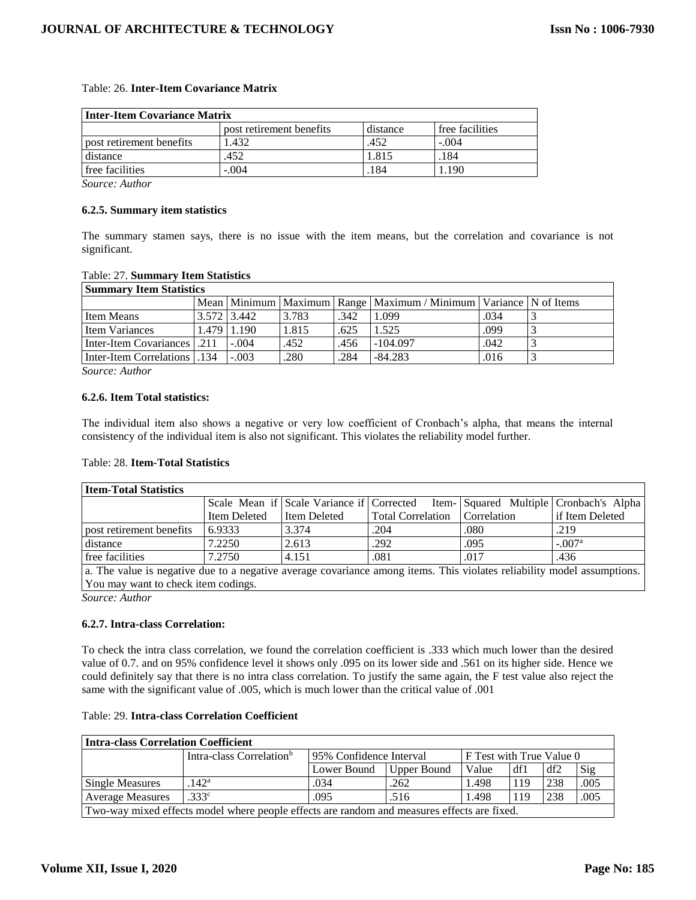# Table: 26. **Inter-Item Covariance Matrix**

| <b>Inter-Item Covariance Matrix</b> |                          |          |                 |  |  |  |
|-------------------------------------|--------------------------|----------|-----------------|--|--|--|
|                                     | post retirement benefits | distance | free facilities |  |  |  |
| post retirement benefits            | 1.432                    | .452     | $-.004$         |  |  |  |
| distance                            | .452                     | 1.815    | .184            |  |  |  |
| free facilities                     | $-.004$                  | 184      | .190            |  |  |  |

*Source: Author* 

#### **6.2.5. Summary item statistics**

The summary stamen says, there is no issue with the item means, but the correlation and covariance is not significant.

#### Table: 27. **Summary Item Statistics**

| <b>Summary Item Statistics</b>      |             |                   |       |      |                                                                              |      |  |
|-------------------------------------|-------------|-------------------|-------|------|------------------------------------------------------------------------------|------|--|
|                                     |             |                   |       |      | Mean   Minimum   Maximum   Range   Maximum / Minimum   Variance   N of Items |      |  |
| <b>Item Means</b>                   | 3.572 3.442 |                   | 3.783 | .342 | 1.099                                                                        | .034 |  |
| <b>Item Variances</b>               |             | $1.479$   $1.190$ | 1.815 | .625 | 1.525                                                                        | .099 |  |
| <b>Inter-Item Covariances</b> 1.211 |             | $-.004$           | .452  | .456 | $-104.097$                                                                   | .042 |  |
| Inter-Item Correlations 134         |             | $-.003$           | .280  | .284 | $-84.283$                                                                    | .016 |  |

*Source: Author* 

#### **6.2.6. Item Total statistics:**

The individual item also shows a negative or very low coefficient of Cronbach's alpha, that means the internal consistency of the individual item is also not significant. This violates the reliability model further.

#### Table: 28. **Item-Total Statistics**

| <b>Item-Total Statistics</b>                                                                                            |              |              |                                 |      |                                                                                   |
|-------------------------------------------------------------------------------------------------------------------------|--------------|--------------|---------------------------------|------|-----------------------------------------------------------------------------------|
|                                                                                                                         |              |              |                                 |      | Scale Mean if Scale Variance if Corrected Item- Squared Multiple Cronbach's Alpha |
|                                                                                                                         | Item Deleted | Item Deleted | Total Correlation   Correlation |      | if Item Deleted                                                                   |
| post retirement benefits                                                                                                | 6.9333       | 3.374        | .204                            | .080 | .219                                                                              |
| distance                                                                                                                | 7.2250       | 2.613        | .292                            | .095 | $-.007a$                                                                          |
| free facilities                                                                                                         | 7.2750       | 4.151        | .081                            | .017 | .436                                                                              |
| a. The value is negative due to a negative average covariance among items. This violates reliability model assumptions. |              |              |                                 |      |                                                                                   |

You may want to check item codings.

*Source: Author* 

# **6.2.7. Intra-class Correlation:**

To check the intra class correlation, we found the correlation coefficient is .333 which much lower than the desired value of 0.7. and on 95% confidence level it shows only .095 on its lower side and .561 on its higher side. Hence we could definitely say that there is no intra class correlation. To justify the same again, the F test value also reject the same with the significant value of .005, which is much lower than the critical value of .001

# Table: 29. **Intra-class Correlation Coefficient**

| <b>Intra-class Correlation Coefficient</b>                                                  |                                      |                         |                                 |       |     |     |      |  |
|---------------------------------------------------------------------------------------------|--------------------------------------|-------------------------|---------------------------------|-------|-----|-----|------|--|
|                                                                                             | Intra-class Correlation <sup>b</sup> | 95% Confidence Interval | <b>F</b> Test with True Value 0 |       |     |     |      |  |
|                                                                                             |                                      | Lower Bound             | Upper Bound                     | Value | df1 | df2 | Sig  |  |
| Single Measures                                                                             | $.142^{\rm a}$                       | .034                    | .262                            | 1.498 | 119 | 238 | .005 |  |
| <b>Average Measures</b>                                                                     | .333 <sup>c</sup>                    | .095                    | .516                            | 1.498 | 119 | 238 | .005 |  |
| Two-way mixed effects model where people effects are random and measures effects are fixed. |                                      |                         |                                 |       |     |     |      |  |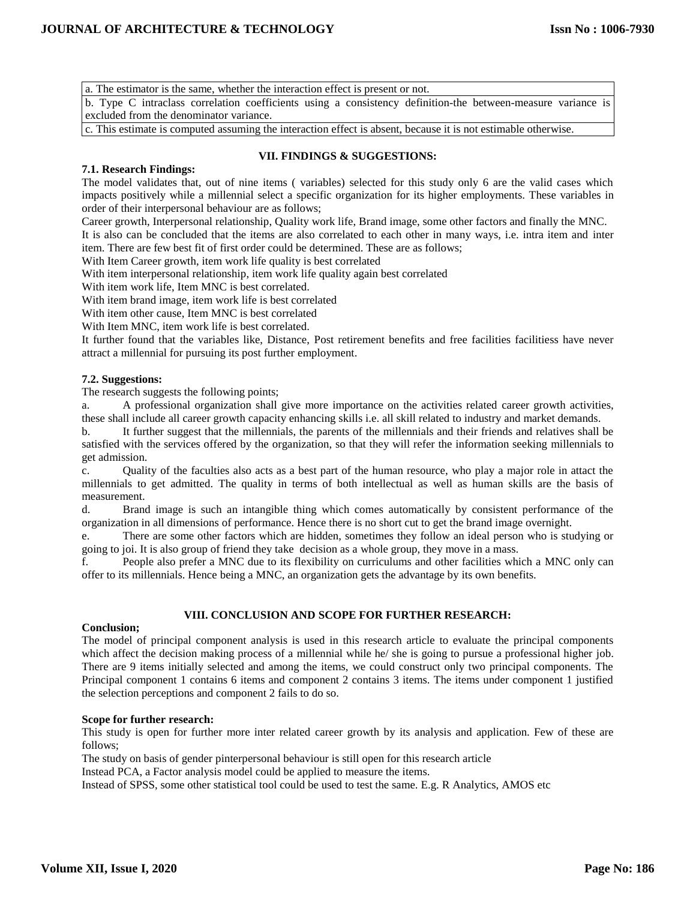a. The estimator is the same, whether the interaction effect is present or not.

b. Type C intraclass correlation coefficients using a consistency definition-the between-measure variance is excluded from the denominator variance.

c. This estimate is computed assuming the interaction effect is absent, because it is not estimable otherwise.

# **VII. FINDINGS & SUGGESTIONS:**

# **7.1. Research Findings:**

The model validates that, out of nine items ( variables) selected for this study only 6 are the valid cases which impacts positively while a millennial select a specific organization for its higher employments. These variables in order of their interpersonal behaviour are as follows;

Career growth, Interpersonal relationship, Quality work life, Brand image, some other factors and finally the MNC. It is also can be concluded that the items are also correlated to each other in many ways, i.e. intra item and inter item. There are few best fit of first order could be determined. These are as follows;

With Item Career growth, item work life quality is best correlated

With item interpersonal relationship, item work life quality again best correlated

With item work life, Item MNC is best correlated.

With item brand image, item work life is best correlated

With item other cause, Item MNC is best correlated

With Item MNC, item work life is best correlated.

It further found that the variables like, Distance, Post retirement benefits and free facilities facilitiess have never attract a millennial for pursuing its post further employment.

#### **7.2. Suggestions:**

The research suggests the following points;

a. A professional organization shall give more importance on the activities related career growth activities, these shall include all career growth capacity enhancing skills i.e. all skill related to industry and market demands.

b. It further suggest that the millennials, the parents of the millennials and their friends and relatives shall be satisfied with the services offered by the organization, so that they will refer the information seeking millennials to get admission.

c. Quality of the faculties also acts as a best part of the human resource, who play a major role in attact the millennials to get admitted. The quality in terms of both intellectual as well as human skills are the basis of measurement.

d. Brand image is such an intangible thing which comes automatically by consistent performance of the organization in all dimensions of performance. Hence there is no short cut to get the brand image overnight.

e. There are some other factors which are hidden, sometimes they follow an ideal person who is studying or going to joi. It is also group of friend they take decision as a whole group, they move in a mass.

f. People also prefer a MNC due to its flexibility on curriculums and other facilities which a MNC only can offer to its millennials. Hence being a MNC, an organization gets the advantage by its own benefits.

#### **VIII. CONCLUSION AND SCOPE FOR FURTHER RESEARCH:**

### **Conclusion;**

The model of principal component analysis is used in this research article to evaluate the principal components which affect the decision making process of a millennial while he/ she is going to pursue a professional higher job. There are 9 items initially selected and among the items, we could construct only two principal components. The Principal component 1 contains 6 items and component 2 contains 3 items. The items under component 1 justified the selection perceptions and component 2 fails to do so.

#### **Scope for further research:**

This study is open for further more inter related career growth by its analysis and application. Few of these are follows;

The study on basis of gender pinterpersonal behaviour is still open for this research article

Instead PCA, a Factor analysis model could be applied to measure the items.

Instead of SPSS, some other statistical tool could be used to test the same. E.g. R Analytics, AMOS etc